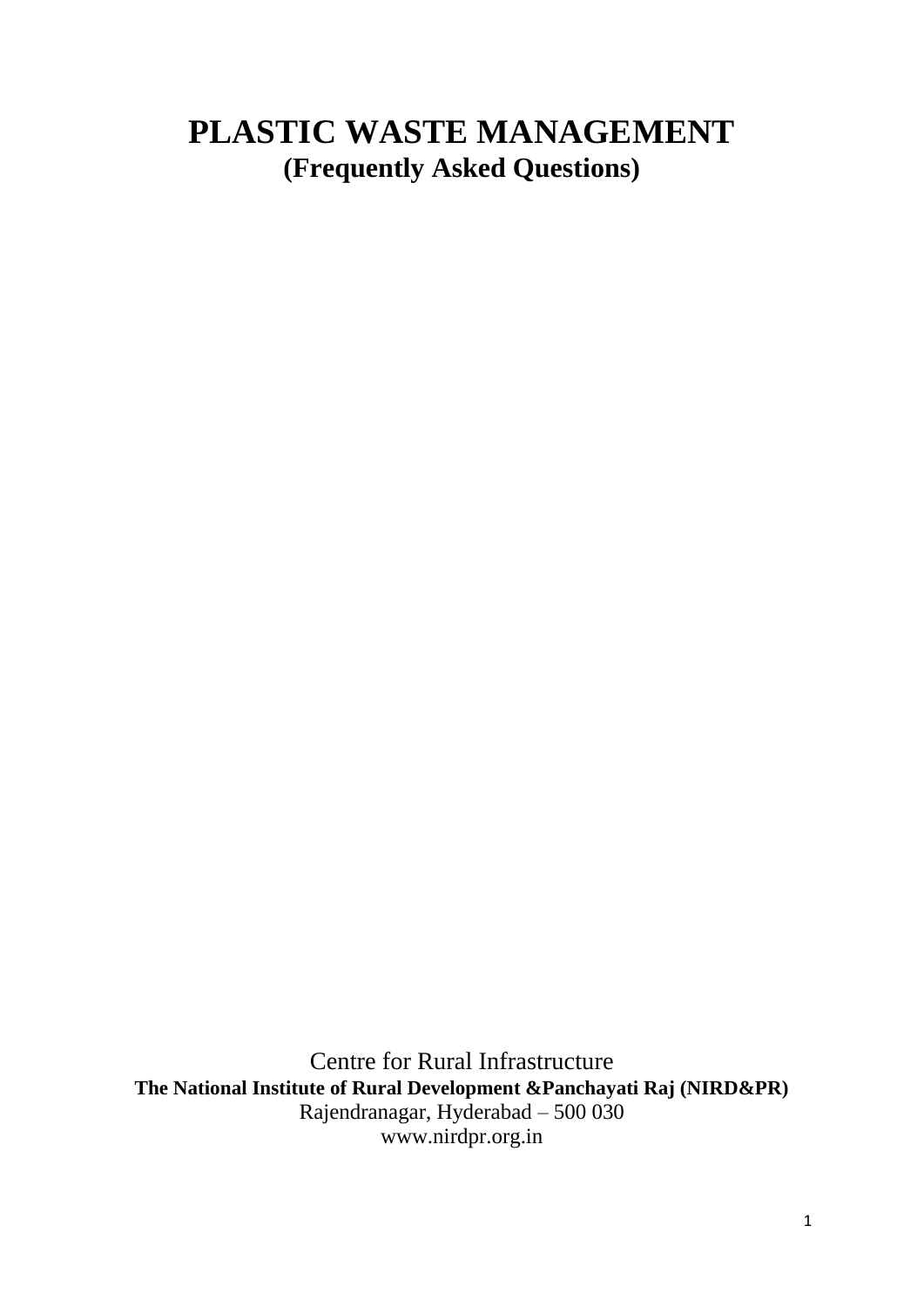# **PLASTIC WASTE MANAGEMENT (Frequently Asked Questions)**

Centre for Rural Infrastructure **The National Institute of Rural Development &Panchayati Raj (NIRD&PR)** Rajendranagar, Hyderabad – 500 030 www.nirdpr.org.in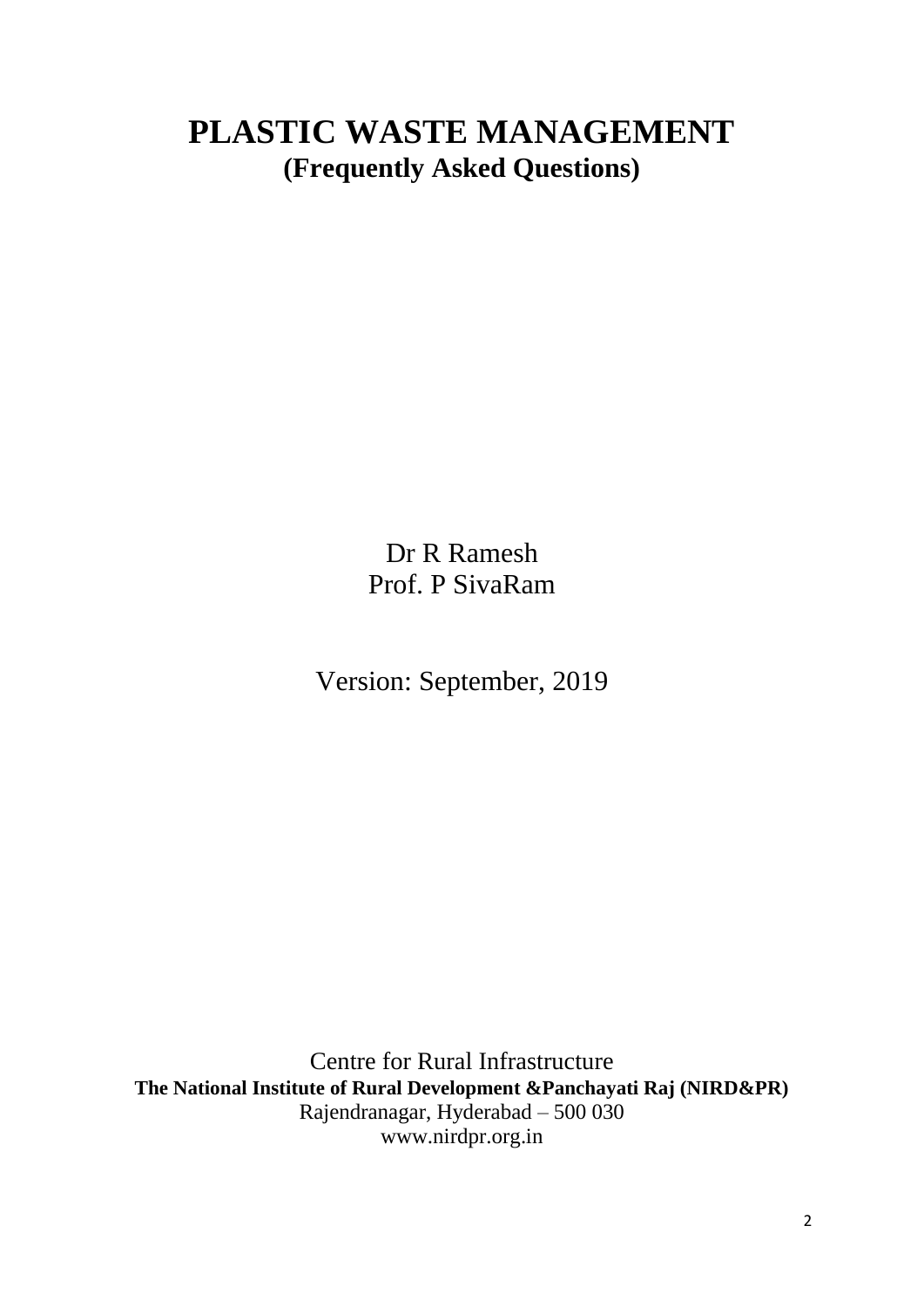# **PLASTIC WASTE MANAGEMENT (Frequently Asked Questions)**

Dr R Ramesh Prof. P SivaRam

Version: September, 2019

Centre for Rural Infrastructure **The National Institute of Rural Development &Panchayati Raj (NIRD&PR)** Rajendranagar, Hyderabad – 500 030 www.nirdpr.org.in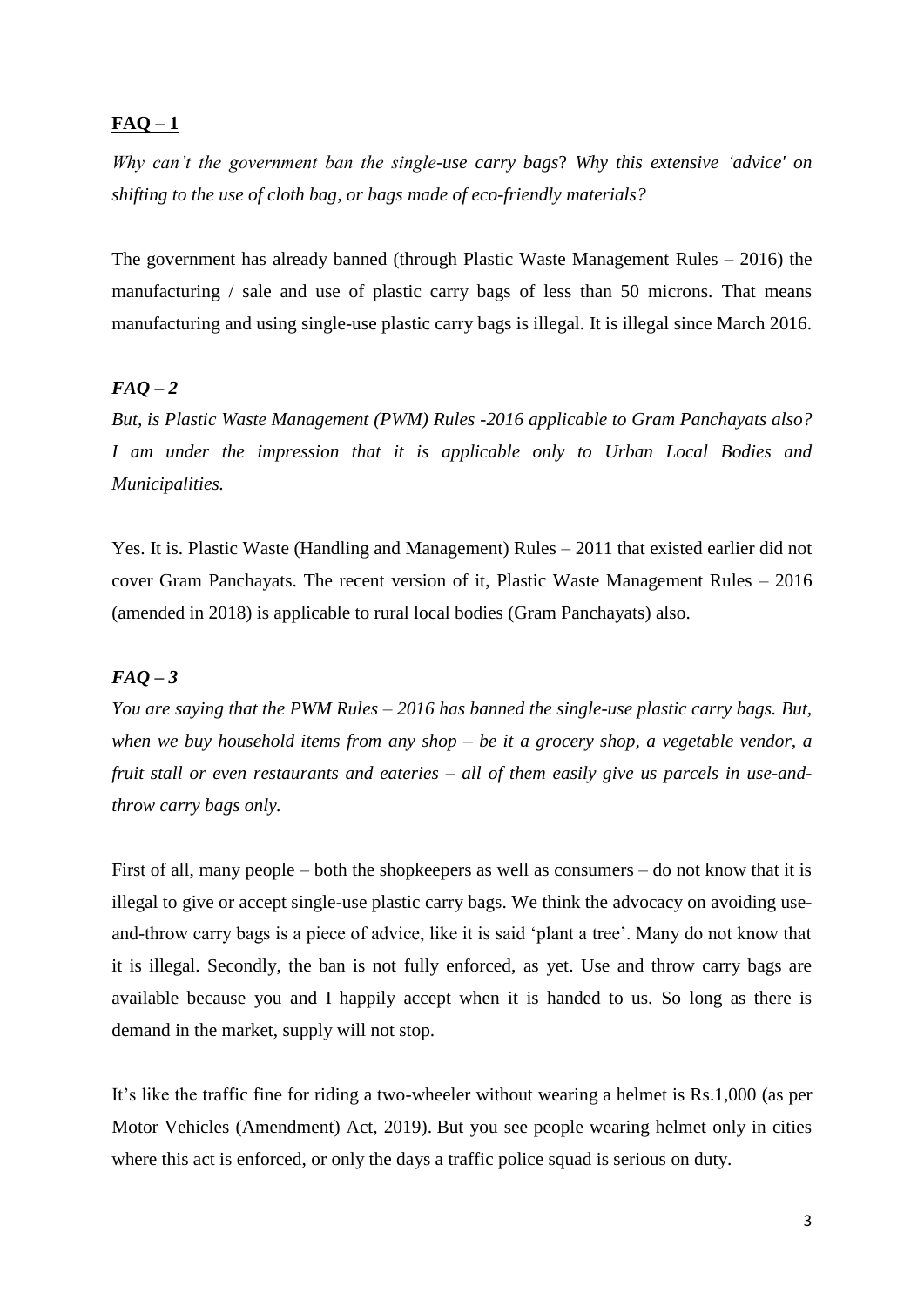# $FAQ-1$

*Why can't the government ban the single-use carry bags*? *Why this extensive 'advice' on shifting to the use of cloth bag, or bags made of eco-friendly materials?* 

The government has already banned (through Plastic Waste Management Rules – 2016) the manufacturing / sale and use of plastic carry bags of less than 50 microns. That means manufacturing and using single-use plastic carry bags is illegal. It is illegal since March 2016.

# $FAQ - 2$

*But, is Plastic Waste Management (PWM) Rules -2016 applicable to Gram Panchayats also? I am under the impression that it is applicable only to Urban Local Bodies and Municipalities.* 

Yes. It is. Plastic Waste (Handling and Management) Rules – 2011 that existed earlier did not cover Gram Panchayats. The recent version of it, Plastic Waste Management Rules – 2016 (amended in 2018) is applicable to rural local bodies (Gram Panchayats) also.

# *FAQ – 3*

*You are saying that the PWM Rules – 2016 has banned the single-use plastic carry bags. But, when we buy household items from any shop – be it a grocery shop, a vegetable vendor, a fruit stall or even restaurants and eateries – all of them easily give us parcels in use-andthrow carry bags only.*

First of all, many people – both the shopkeepers as well as consumers – do not know that it is illegal to give or accept single-use plastic carry bags. We think the advocacy on avoiding useand-throw carry bags is a piece of advice, like it is said 'plant a tree'. Many do not know that it is illegal. Secondly, the ban is not fully enforced, as yet. Use and throw carry bags are available because you and I happily accept when it is handed to us. So long as there is demand in the market, supply will not stop.

It's like the traffic fine for riding a two-wheeler without wearing a helmet is Rs.1,000 (as per Motor Vehicles (Amendment) Act, 2019). But you see people wearing helmet only in cities where this act is enforced, or only the days a traffic police squad is serious on duty.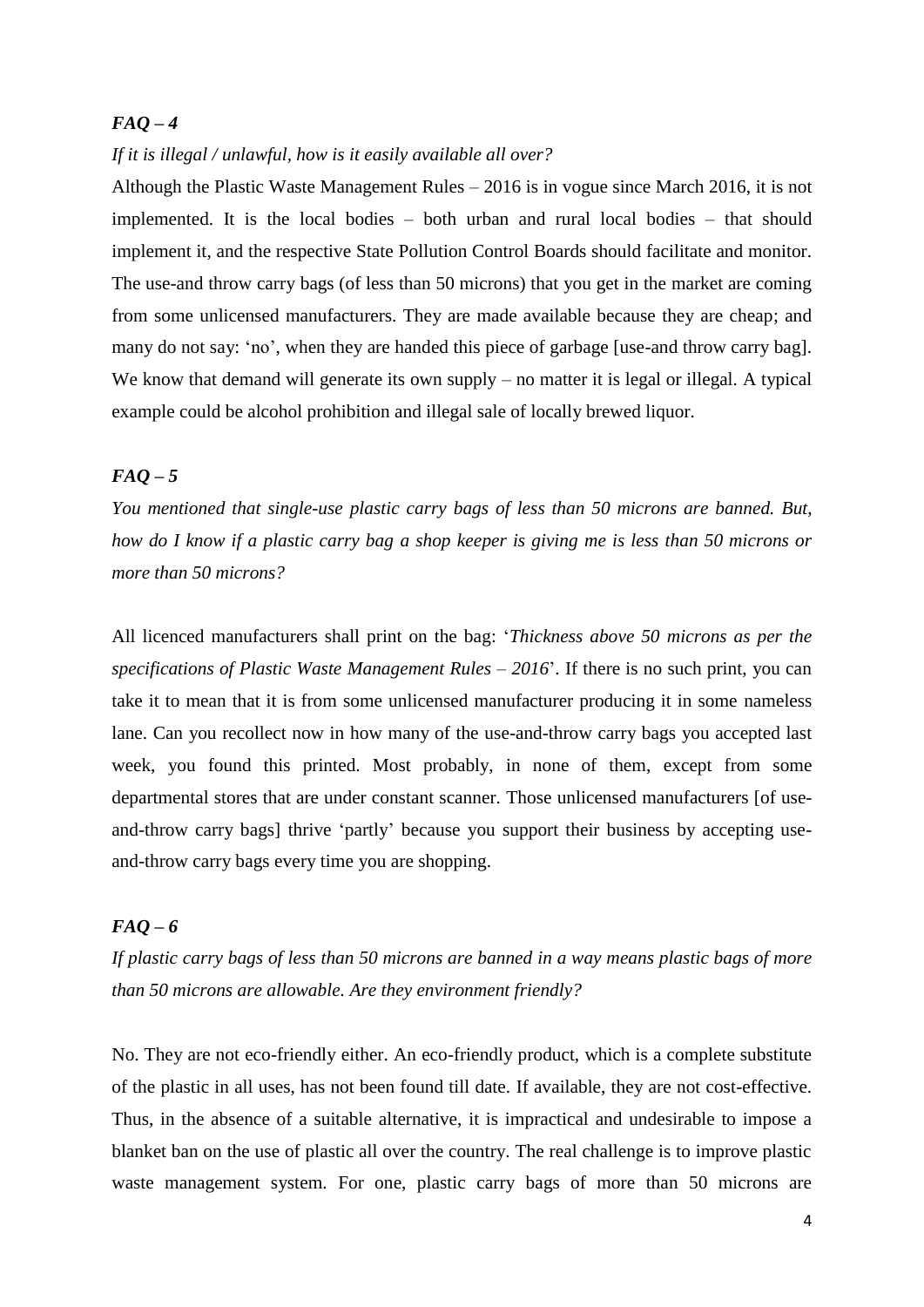#### *If it is illegal / unlawful, how is it easily available all over?*

Although the Plastic Waste Management Rules – 2016 is in vogue since March 2016, it is not implemented. It is the local bodies – both urban and rural local bodies – that should implement it, and the respective State Pollution Control Boards should facilitate and monitor. The use-and throw carry bags (of less than 50 microns) that you get in the market are coming from some unlicensed manufacturers. They are made available because they are cheap; and many do not say: 'no', when they are handed this piece of garbage [use-and throw carry bag]. We know that demand will generate its own supply – no matter it is legal or illegal. A typical example could be alcohol prohibition and illegal sale of locally brewed liquor.

# *FAQ – 5*

*You mentioned that single-use plastic carry bags of less than 50 microns are banned. But, how do I know if a plastic carry bag a shop keeper is giving me is less than 50 microns or more than 50 microns?*

All licenced manufacturers shall print on the bag: '*Thickness above 50 microns as per the specifications of Plastic Waste Management Rules – 2016*'. If there is no such print, you can take it to mean that it is from some unlicensed manufacturer producing it in some nameless lane. Can you recollect now in how many of the use-and-throw carry bags you accepted last week, you found this printed. Most probably, in none of them, except from some departmental stores that are under constant scanner. Those unlicensed manufacturers [of useand-throw carry bags] thrive 'partly' because you support their business by accepting useand-throw carry bags every time you are shopping.

# *FAQ – 6*

*If plastic carry bags of less than 50 microns are banned in a way means plastic bags of more than 50 microns are allowable. Are they environment friendly?*

No. They are not eco-friendly either. An eco-friendly product, which is a complete substitute of the plastic in all uses, has not been found till date. If available, they are not cost-effective. Thus, in the absence of a suitable alternative, it is impractical and undesirable to impose a blanket ban on the use of plastic all over the country. The real challenge is to improve plastic waste management system. For one, plastic carry bags of more than 50 microns are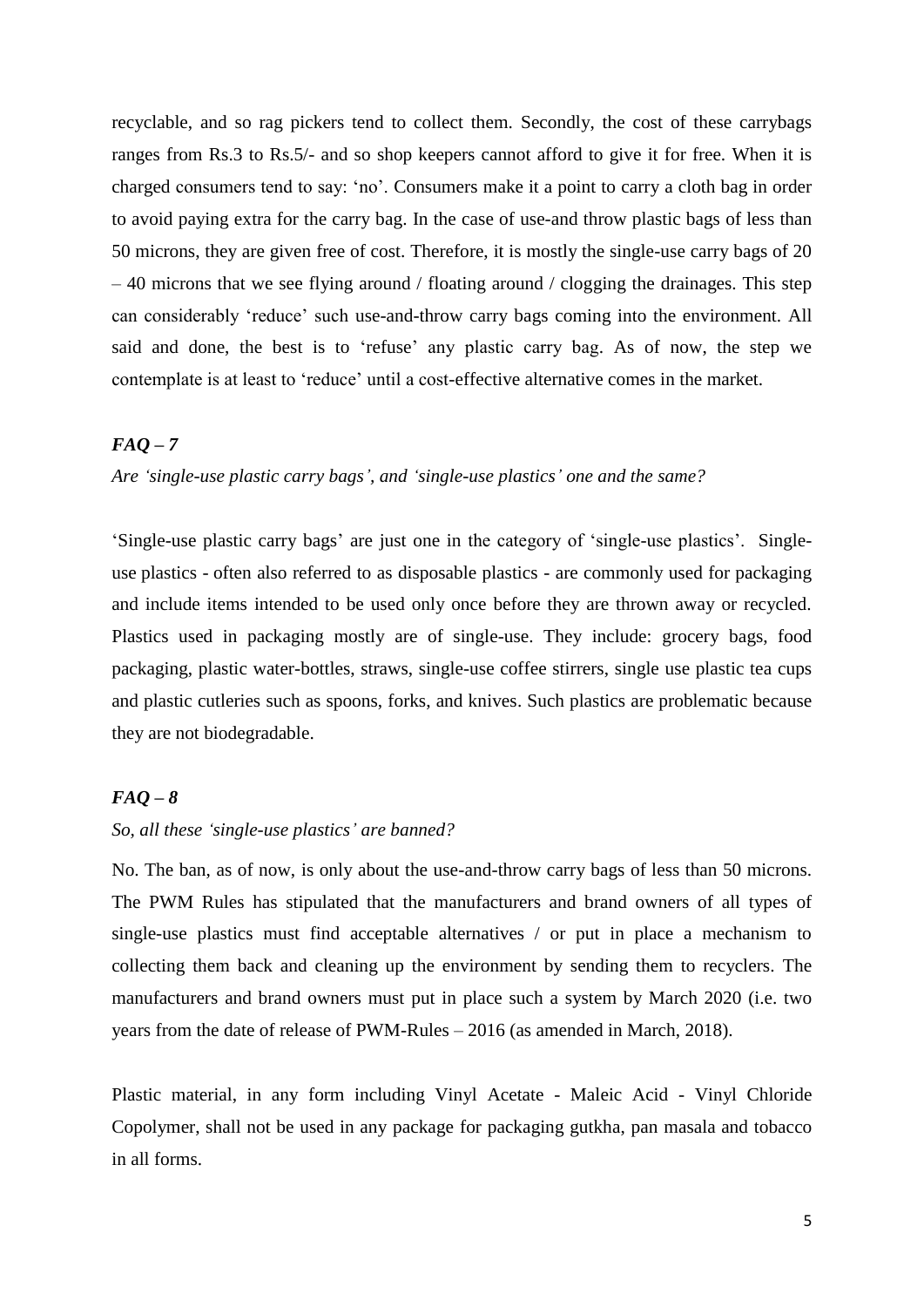recyclable, and so rag pickers tend to collect them. Secondly, the cost of these carrybags ranges from Rs.3 to Rs.5/- and so shop keepers cannot afford to give it for free. When it is charged consumers tend to say: 'no'. Consumers make it a point to carry a cloth bag in order to avoid paying extra for the carry bag. In the case of use-and throw plastic bags of less than 50 microns, they are given free of cost. Therefore, it is mostly the single-use carry bags of 20  $-40$  microns that we see flying around / floating around / clogging the drainages. This step can considerably 'reduce' such use-and-throw carry bags coming into the environment. All said and done, the best is to 'refuse' any plastic carry bag. As of now, the step we contemplate is at least to 'reduce' until a cost-effective alternative comes in the market.

### *FAQ – 7*

*Are 'single-use plastic carry bags', and 'single-use plastics' one and the same?* 

'Single-use plastic carry bags' are just one in the category of 'single-use plastics'. Singleuse [plastics](https://www.thehindu.com/tag/62824-870-684/plastics/?utm=bodytag) - often also referred to as disposable plastics - are commonly used for packaging and include items intended to be used only once before they are thrown away or recycled. Plastics used in packaging mostly are of single-use. They include: grocery bags, food packaging, plastic water-bottles, straws, single-use coffee stirrers, single use plastic tea cups and plastic cutleries such as spoons, forks, and knives. Such plastics are problematic because they are not biodegradable.

# *FAQ – 8*

### *So, all these 'single-use plastics' are banned?*

No. The ban, as of now, is only about the use-and-throw carry bags of less than 50 microns. The PWM Rules has stipulated that the manufacturers and brand owners of all types of single-use plastics must find acceptable alternatives / or put in place a mechanism to collecting them back and cleaning up the environment by sending them to recyclers. The manufacturers and brand owners must put in place such a system by March 2020 (i.e. two years from the date of release of PWM-Rules – 2016 (as amended in March, 2018).

Plastic material, in any form including Vinyl Acetate - Maleic Acid - Vinyl Chloride Copolymer, shall not be used in any package for packaging gutkha, pan masala and tobacco in all forms.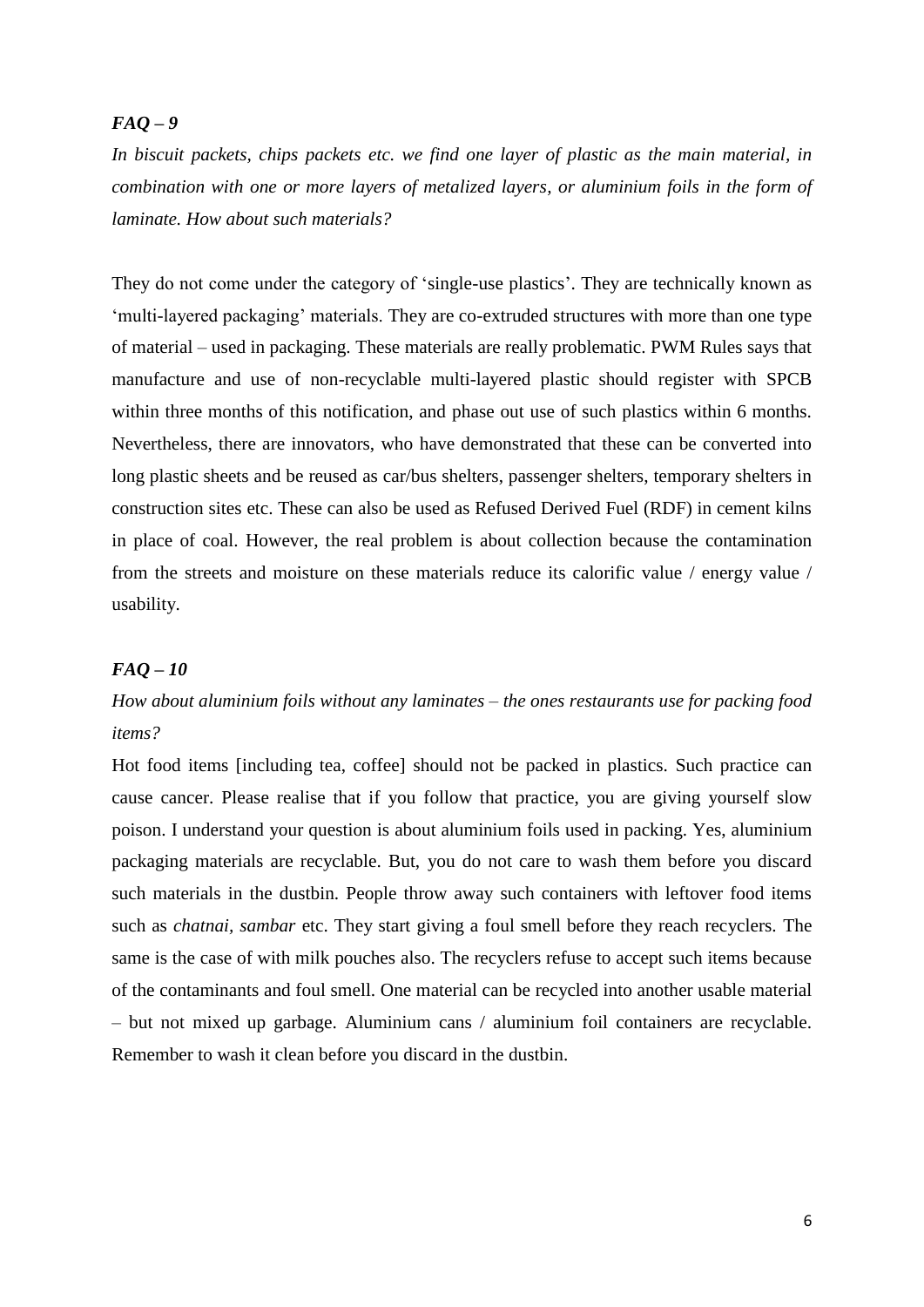*In biscuit packets, chips packets etc. we find one layer of plastic as the main material, in combination with one or more layers of metalized layers, or aluminium foils in the form of laminate. How about such materials?* 

They do not come under the category of 'single-use plastics'. They are technically known as 'multi-layered packaging' materials. They are co-extruded structures with more than one type of material – used in packaging. These materials are really problematic. PWM Rules says that manufacture and use of non-recyclable multi-layered plastic should register with SPCB within three months of this notification, and phase out use of such plastics within 6 months. Nevertheless, there are innovators, who have demonstrated that these can be converted into long plastic sheets and be reused as car/bus shelters, passenger shelters, temporary shelters in construction sites etc. These can also be used as Refused Derived Fuel (RDF) in cement kilns in place of coal. However, the real problem is about collection because the contamination from the streets and moisture on these materials reduce its calorific value / energy value / usability.

### *FAQ – 10*

# *How about aluminium foils without any laminates – the ones restaurants use for packing food items?*

Hot food items [including tea, coffee] should not be packed in plastics. Such practice can cause cancer. Please realise that if you follow that practice, you are giving yourself slow poison. I understand your question is about aluminium foils used in packing. Yes, aluminium packaging materials are recyclable. But, you do not care to wash them before you discard such materials in the dustbin. People throw away such containers with leftover food items such as *chatnai, sambar* etc. They start giving a foul smell before they reach recyclers. The same is the case of with milk pouches also. The recyclers refuse to accept such items because of the contaminants and foul smell. One material can be recycled into another usable material – but not mixed up garbage. Aluminium cans / aluminium foil containers are recyclable. Remember to wash it clean before you discard in the dustbin.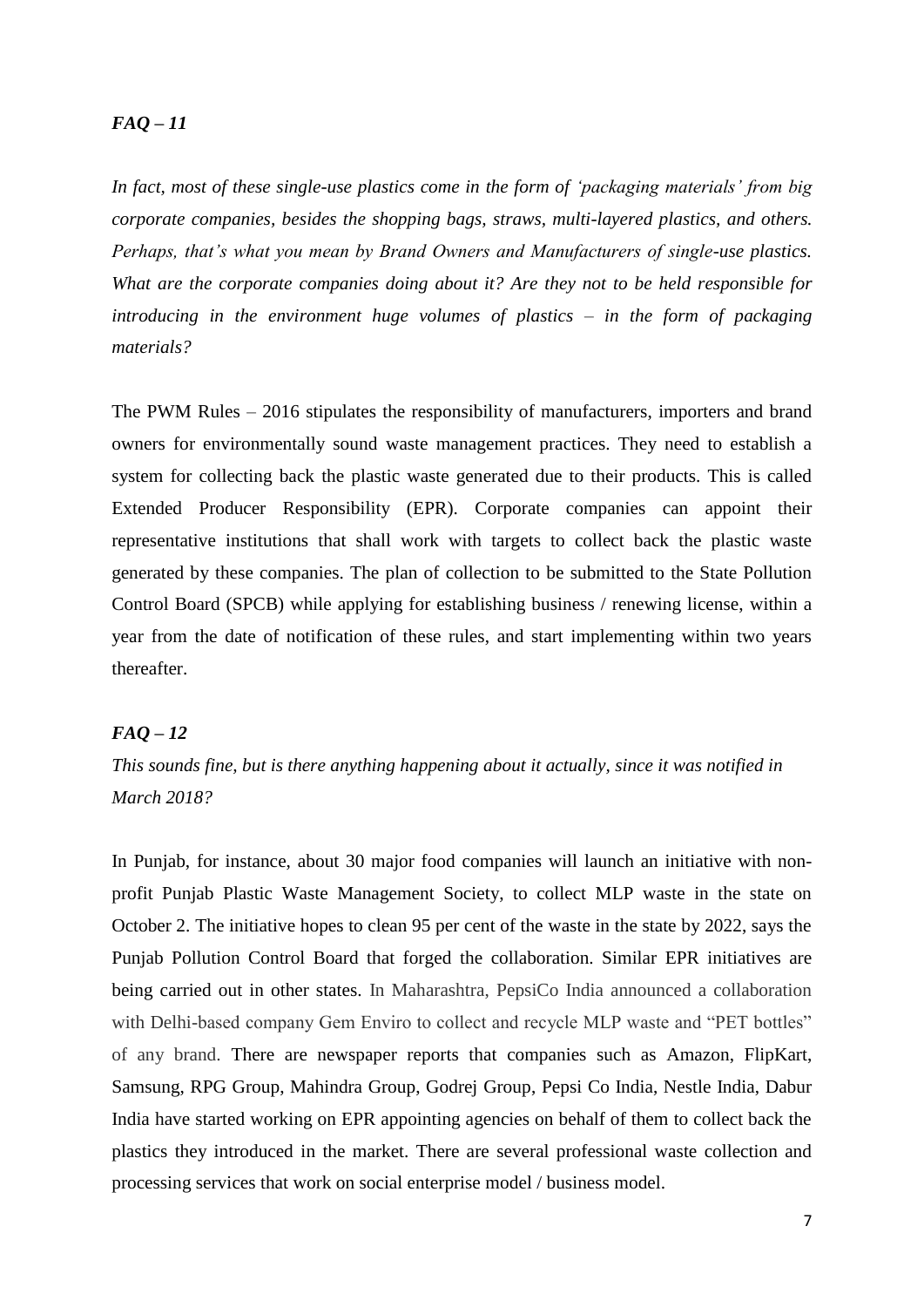*In fact, most of these single-use plastics come in the form of 'packaging materials' from big corporate companies, besides the shopping bags, straws, multi-layered plastics, and others. Perhaps, that's what you mean by Brand Owners and Manufacturers of single-use plastics. What are the corporate companies doing about it? Are they not to be held responsible for introducing in the environment huge volumes of plastics – in the form of packaging materials?*

The PWM Rules – 2016 stipulates the responsibility of manufacturers, importers and brand owners for environmentally sound waste management practices. They need to establish a system for collecting back the plastic waste generated due to their products. This is called Extended Producer Responsibility (EPR). Corporate companies can appoint their representative institutions that shall work with targets to collect back the plastic waste generated by these companies. The plan of collection to be submitted to the State Pollution Control Board (SPCB) while applying for establishing business / renewing license, within a year from the date of notification of these rules, and start implementing within two years thereafter.

### *FAQ – 12*

*This sounds fine, but is there anything happening about it actually, since it was notified in March 2018?* 

In Punjab, for instance, about 30 major food companies will launch an initiative with nonprofit Punjab Plastic Waste Management Society, to collect MLP waste in the state on October 2. The initiative hopes to clean 95 per cent of the waste in the state by 2022, says the Punjab Pollution Control Board that forged the collaboration. Similar EPR initiatives are being carried out in other states. In Maharashtra, PepsiCo India announced a collaboration with Delhi-based company Gem Enviro to collect and recycle MLP waste and "PET bottles" of any brand. There are newspaper reports that companies such as Amazon, FlipKart, Samsung, RPG Group, Mahindra Group, Godrej Group, Pepsi Co India, Nestle India, Dabur India have started working on EPR appointing agencies on behalf of them to collect back the plastics they introduced in the market. There are several professional waste collection and processing services that work on social enterprise model / business model.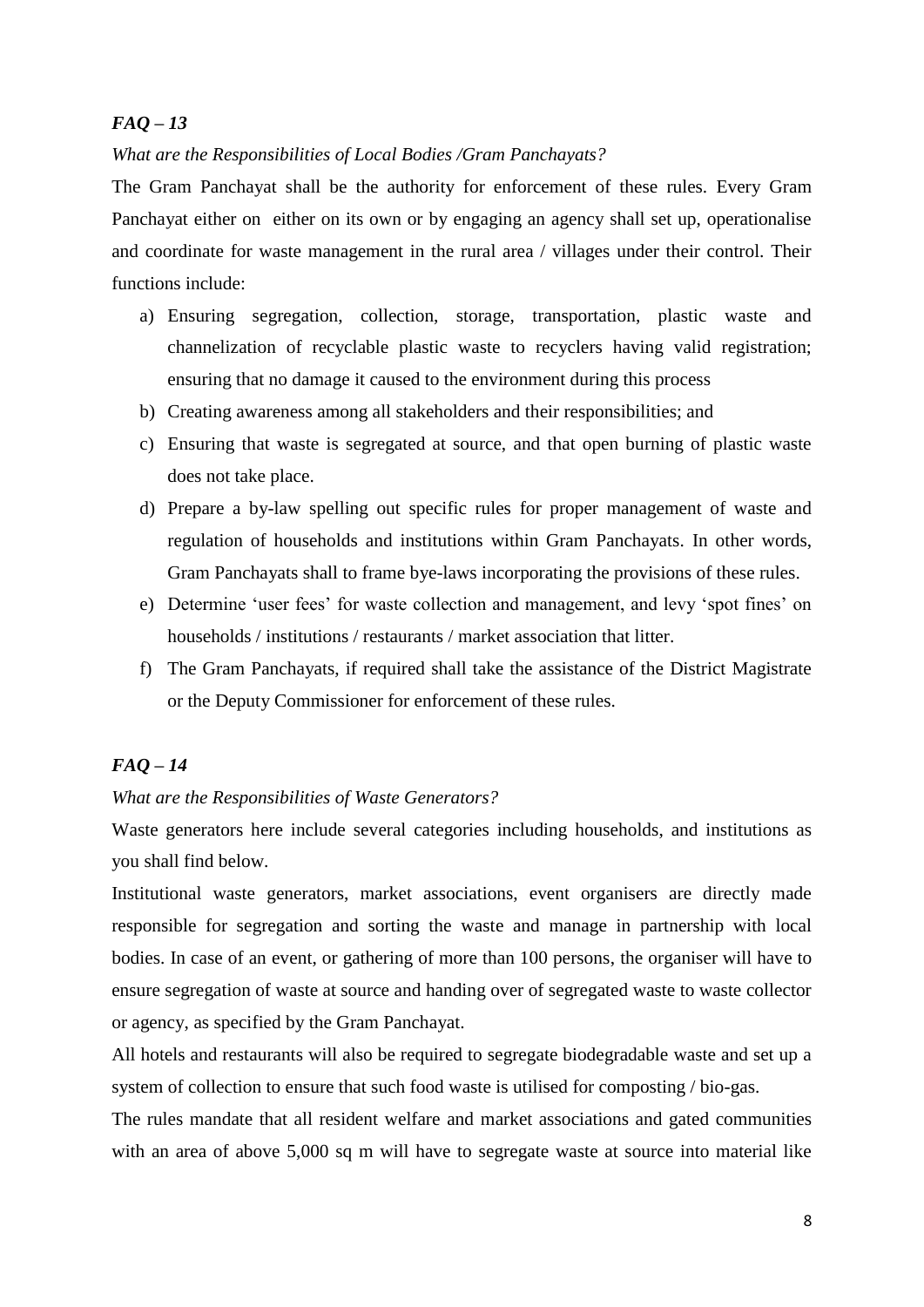### *What are the Responsibilities of Local Bodies /Gram Panchayats?*

The Gram Panchayat shall be the authority for enforcement of these rules. Every Gram Panchayat either on either on its own or by engaging an agency shall set up, operationalise and coordinate for waste management in the rural area / villages under their control. Their functions include:

- a) Ensuring segregation, collection, storage, transportation, plastic waste and channelization of recyclable plastic waste to recyclers having valid registration; ensuring that no damage it caused to the environment during this process
- b) Creating awareness among all stakeholders and their responsibilities; and
- c) Ensuring that waste is segregated at source, and that open burning of plastic waste does not take place.
- d) Prepare a by-law spelling out specific rules for proper management of waste and regulation of households and institutions within Gram Panchayats. In other words, Gram Panchayats shall to frame bye-laws incorporating the provisions of these rules.
- e) Determine 'user fees' for waste collection and management, and levy 'spot fines' on households / institutions / restaurants / market association that litter.
- f) The Gram Panchayats, if required shall take the assistance of the District Magistrate or the Deputy Commissioner for enforcement of these rules.

### *FAQ – 14*

### *What are the Responsibilities of Waste Generators?*

Waste generators here include several categories including households, and institutions as you shall find below.

Institutional waste generators, market associations, event organisers are directly made responsible for segregation and sorting the waste and manage in partnership with local bodies. In case of an event, or gathering of more than 100 persons, the organiser will have to ensure segregation of waste at source and handing over of segregated waste to waste collector or agency, as specified by the Gram Panchayat.

All hotels and restaurants will also be required to segregate biodegradable waste and set up a system of collection to ensure that such food waste is utilised for composting / bio-gas.

The rules mandate that all resident welfare and market associations and gated communities with an area of above 5,000 sq m will have to segregate waste at source into material like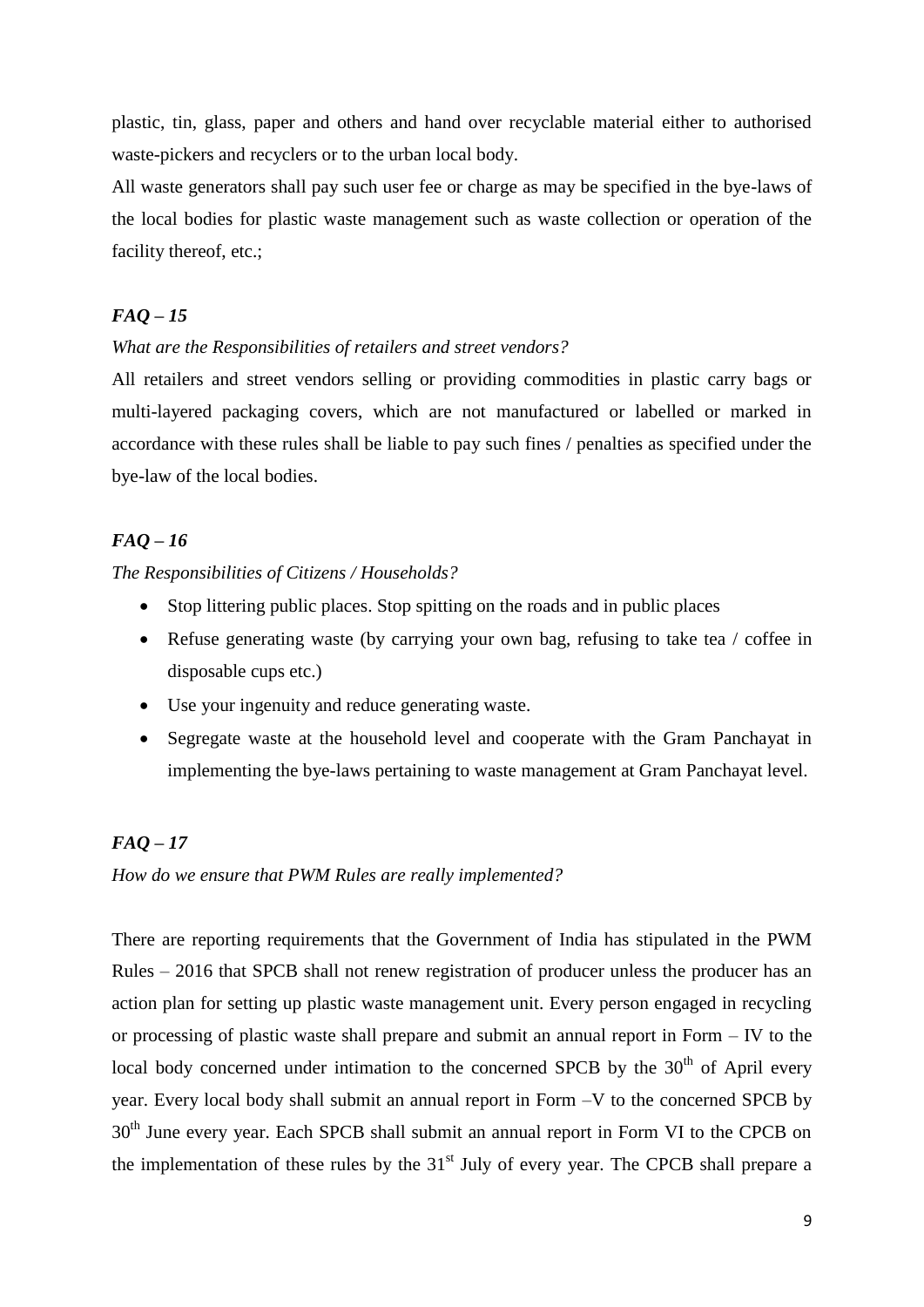plastic, tin, glass, paper and others and hand over recyclable material either to authorised waste-pickers and recyclers or to the urban local body.

All waste generators shall pay such user fee or charge as may be specified in the bye-laws of the local bodies for plastic waste management such as waste collection or operation of the facility thereof, etc.;

# *FAQ – 15*

### *What are the Responsibilities of retailers and street vendors?*

All retailers and street vendors selling or providing commodities in plastic carry bags or multi-layered packaging covers, which are not manufactured or labelled or marked in accordance with these rules shall be liable to pay such fines / penalties as specified under the bye-law of the local bodies.

# *FAQ – 16*

### *The Responsibilities of Citizens / Households?*

- Stop littering public places. Stop spitting on the roads and in public places
- Refuse generating waste (by carrying your own bag, refusing to take tea / coffee in disposable cups etc.)
- Use your ingenuity and reduce generating waste.
- Segregate waste at the household level and cooperate with the Gram Panchayat in implementing the bye-laws pertaining to waste management at Gram Panchayat level.

# *FAQ – 17*

*How do we ensure that PWM Rules are really implemented?* 

There are reporting requirements that the Government of India has stipulated in the PWM Rules – 2016 that SPCB shall not renew registration of producer unless the producer has an action plan for setting up plastic waste management unit. Every person engaged in recycling or processing of plastic waste shall prepare and submit an annual report in Form – IV to the local body concerned under intimation to the concerned SPCB by the 30<sup>th</sup> of April every year. Every local body shall submit an annual report in Form –V to the concerned SPCB by 30<sup>th</sup> June every year. Each SPCB shall submit an annual report in Form VI to the CPCB on the implementation of these rules by the  $31<sup>st</sup>$  July of every year. The CPCB shall prepare a